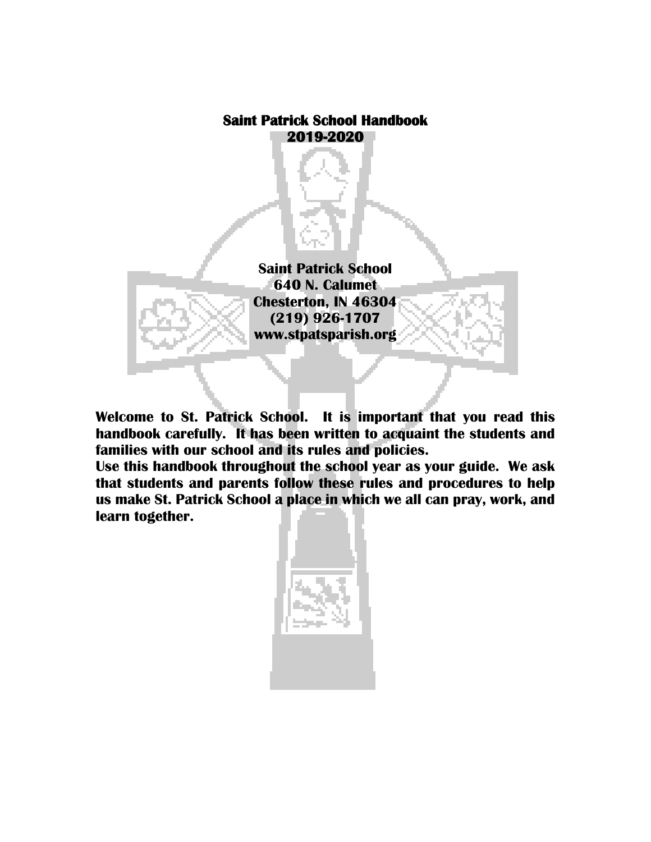# **Saint Patrick School Handbook 2019-2020**

**Saint Patrick School 640 N. Calumet Chesterton, IN 46304 (219) 926-1707 www.stpatsparish.org**

**Welcome to St. Patrick School. It is important that you read this handbook carefully. It has been written to acquaint the students and families with our school and its rules and policies.**

**Use this handbook throughout the school year as your guide. We ask that students and parents follow these rules and procedures to help us make St. Patrick School a place in which we all can pray, work, and learn together.**

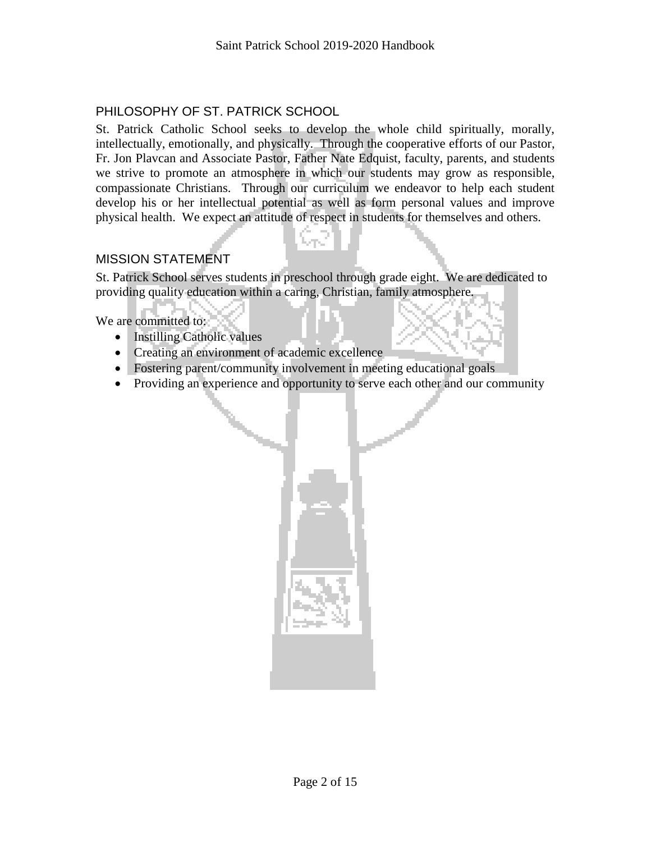# PHILOSOPHY OF ST. PATRICK SCHOOL

St. Patrick Catholic School seeks to develop the whole child spiritually, morally, intellectually, emotionally, and physically. Through the cooperative efforts of our Pastor, Fr. Jon Plavcan and Associate Pastor, Father Nate Edquist, faculty, parents, and students we strive to promote an atmosphere in which our students may grow as responsible, compassionate Christians. Through our curriculum we endeavor to help each student develop his or her intellectual potential as well as form personal values and improve physical health. We expect an attitude of respect in students for themselves and others.

# MISSION STATEMENT

St. Patrick School serves students in preschool through grade eight. We are dedicated to providing quality education within a caring, Christian, family atmosphere.

We are committed to:

- Instilling Catholic values
- Creating an environment of academic excellence
- Fostering parent/community involvement in meeting educational goals
- Providing an experience and opportunity to serve each other and our community

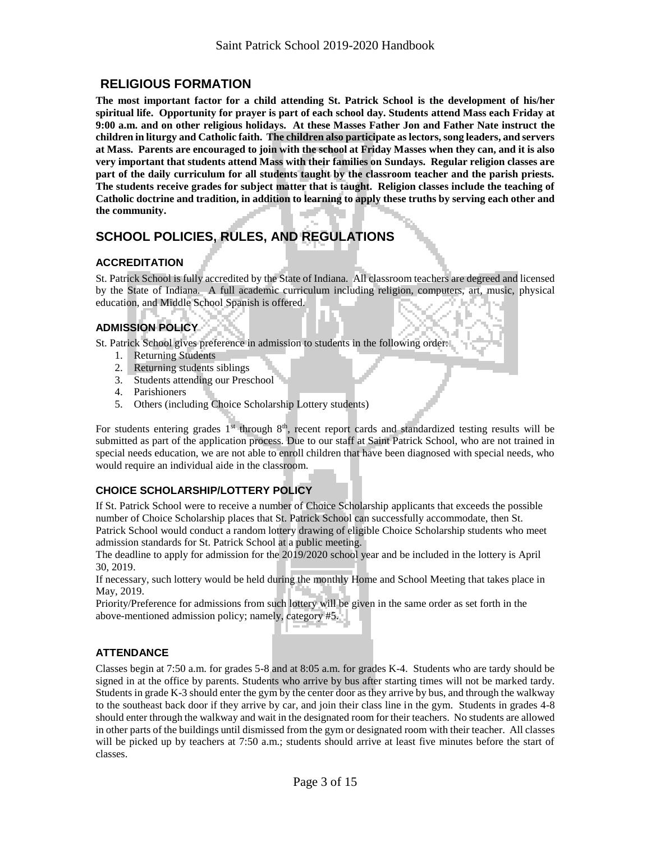# **RELIGIOUS FORMATION**

**The most important factor for a child attending St. Patrick School is the development of his/her spiritual life. Opportunity for prayer is part of each school day. Students attend Mass each Friday at 9:00 a.m. and on other religious holidays. At these Masses Father Jon and Father Nate instruct the children in liturgy and Catholic faith. The children also participate as lectors, song leaders, and servers at Mass. Parents are encouraged to join with the school at Friday Masses when they can, and it is also very important that students attend Mass with their families on Sundays. Regular religion classes are part of the daily curriculum for all students taught by the classroom teacher and the parish priests. The students receive grades for subject matter that is taught. Religion classes include the teaching of Catholic doctrine and tradition, in addition to learning to apply these truths by serving each other and the community.**

# **SCHOOL POLICIES, RULES, AND REGULATIONS**

# **ACCREDITATION**

St. Patrick School is fully accredited by the State of Indiana. All classroom teachers are degreed and licensed by the State of Indiana. A full academic curriculum including religion, computers, art, music, physical education, and Middle School Spanish is offered.

# **ADMISSION POLICY**

St. Patrick School gives preference in admission to students in the following order:

- 1. Returning Students
- 2. Returning students siblings
- 3. Students attending our Preschool
- 4. Parishioners
- 5. Others (including Choice Scholarship Lottery students)

For students entering grades  $1^{st}$  through  $8^{th}$ , recent report cards and standardized testing results will be submitted as part of the application process. Due to our staff at Saint Patrick School, who are not trained in special needs education, we are not able to enroll children that have been diagnosed with special needs, who would require an individual aide in the classroom.

# **CHOICE SCHOLARSHIP/LOTTERY POLICY**

If St. Patrick School were to receive a number of Choice Scholarship applicants that exceeds the possible number of Choice Scholarship places that St. Patrick School can successfully accommodate, then St. Patrick School would conduct a random lottery drawing of eligible Choice Scholarship students who meet

admission standards for St. Patrick School at a public meeting.

The deadline to apply for admission for the 2019/2020 school year and be included in the lottery is April 30, 2019.

If necessary, such lottery would be held during the monthly Home and School Meeting that takes place in May, 2019.

Priority/Preference for admissions from such lottery will be given in the same order as set forth in the above-mentioned admission policy; namely, category #5.

# **ATTENDANCE**

Classes begin at 7:50 a.m. for grades 5-8 and at 8:05 a.m. for grades K-4. Students who are tardy should be signed in at the office by parents. Students who arrive by bus after starting times will not be marked tardy. Students in grade K-3 should enter the gym by the center door as they arrive by bus, and through the walkway to the southeast back door if they arrive by car, and join their class line in the gym. Students in grades 4-8 should enter through the walkway and wait in the designated room for their teachers. No students are allowed in other parts of the buildings until dismissed from the gym or designated room with their teacher. All classes will be picked up by teachers at 7:50 a.m.; students should arrive at least five minutes before the start of classes.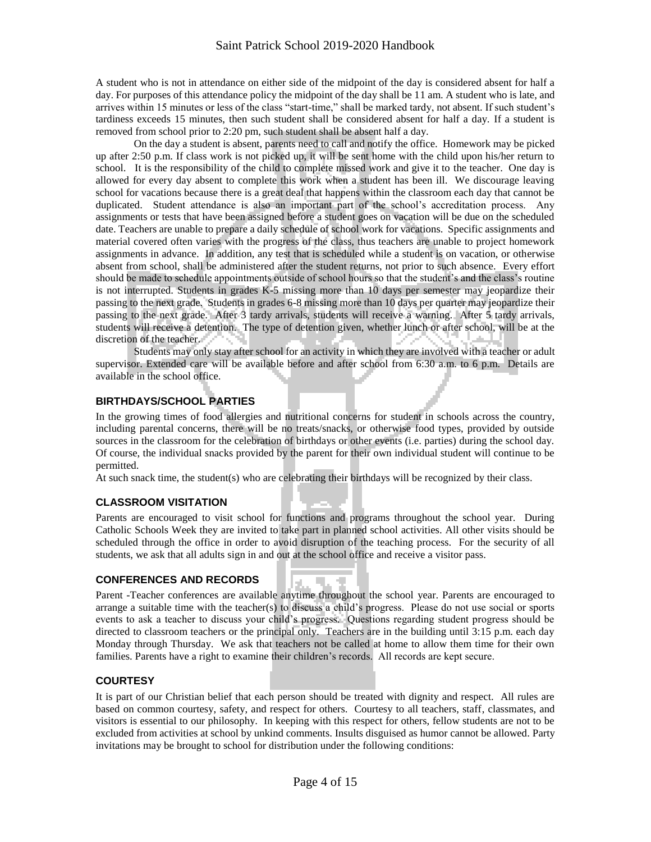A student who is not in attendance on either side of the midpoint of the day is considered absent for half a day. For purposes of this attendance policy the midpoint of the day shall be 11 am. A student who is late, and arrives within 15 minutes or less of the class "start-time," shall be marked tardy, not absent. If such student's tardiness exceeds 15 minutes, then such student shall be considered absent for half a day. If a student is removed from school prior to 2:20 pm, such student shall be absent half a day.

On the day a student is absent, parents need to call and notify the office. Homework may be picked up after 2:50 p.m. If class work is not picked up, it will be sent home with the child upon his/her return to school. It is the responsibility of the child to complete missed work and give it to the teacher. One day is allowed for every day absent to complete this work when a student has been ill. We discourage leaving school for vacations because there is a great deal that happens within the classroom each day that cannot be duplicated. Student attendance is also an important part of the school's accreditation process. Any assignments or tests that have been assigned before a student goes on vacation will be due on the scheduled date. Teachers are unable to prepare a daily schedule of school work for vacations. Specific assignments and material covered often varies with the progress of the class, thus teachers are unable to project homework assignments in advance. In addition, any test that is scheduled while a student is on vacation, or otherwise absent from school, shall be administered after the student returns, not prior to such absence. Every effort should be made to schedule appointments outside of school hours so that the student's and the class's routine is not interrupted. Students in grades K-5 missing more than 10 days per semester may jeopardize their passing to the next grade. Students in grades 6-8 missing more than 10 days per quarter may jeopardize their passing to the next grade. After 3 tardy arrivals, students will receive a warning. After 5 tardy arrivals, students will receive a detention. The type of detention given, whether lunch or after school, will be at the discretion of the teacher.

Students may only stay after school for an activity in which they are involved with a teacher or adult supervisor. Extended care will be available before and after school from 6:30 a.m. to 6 p.m. Details are available in the school office.

# **BIRTHDAYS/SCHOOL PARTIES**

In the growing times of food allergies and nutritional concerns for student in schools across the country, including parental concerns, there will be no treats/snacks, or otherwise food types, provided by outside sources in the classroom for the celebration of birthdays or other events (i.e. parties) during the school day. Of course, the individual snacks provided by the parent for their own individual student will continue to be permitted.

At such snack time, the student(s) who are celebrating their birthdays will be recognized by their class.

### **CLASSROOM VISITATION**

Parents are encouraged to visit school for functions and programs throughout the school year. During Catholic Schools Week they are invited to take part in planned school activities. All other visits should be scheduled through the office in order to avoid disruption of the teaching process. For the security of all students, we ask that all adults sign in and out at the school office and receive a visitor pass.

### **CONFERENCES AND RECORDS**

Parent -Teacher conferences are available anytime throughout the school year. Parents are encouraged to arrange a suitable time with the teacher(s) to discuss a child's progress. Please do not use social or sports events to ask a teacher to discuss your child's progress. Questions regarding student progress should be directed to classroom teachers or the principal only. Teachers are in the building until 3:15 p.m. each day Monday through Thursday. We ask that teachers not be called at home to allow them time for their own families. Parents have a right to examine their children's records. All records are kept secure.

### **COURTESY**

It is part of our Christian belief that each person should be treated with dignity and respect. All rules are based on common courtesy, safety, and respect for others. Courtesy to all teachers, staff, classmates, and visitors is essential to our philosophy. In keeping with this respect for others, fellow students are not to be excluded from activities at school by unkind comments. Insults disguised as humor cannot be allowed. Party invitations may be brought to school for distribution under the following conditions: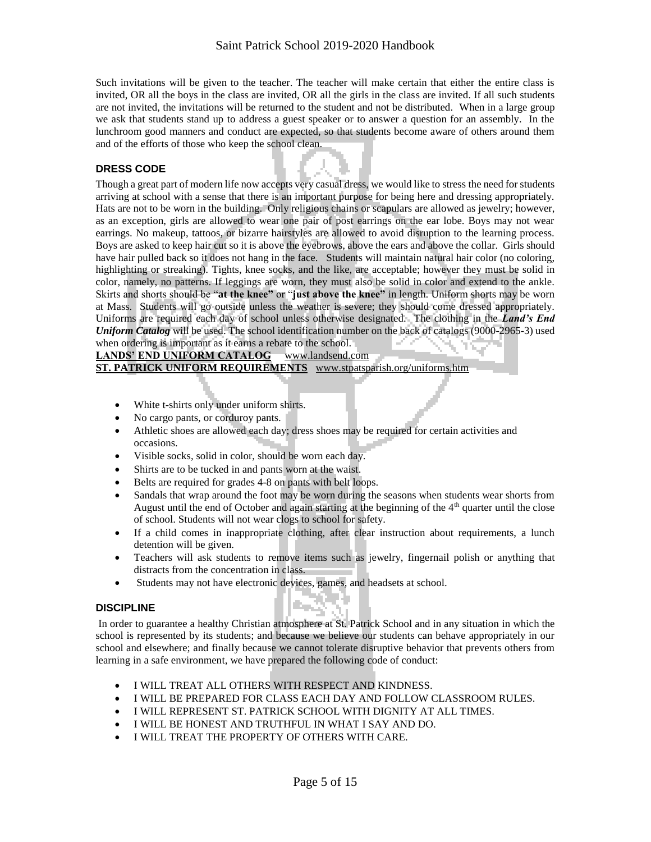Such invitations will be given to the teacher. The teacher will make certain that either the entire class is invited, OR all the boys in the class are invited, OR all the girls in the class are invited. If all such students are not invited, the invitations will be returned to the student and not be distributed. When in a large group we ask that students stand up to address a guest speaker or to answer a question for an assembly. In the lunchroom good manners and conduct are expected, so that students become aware of others around them and of the efforts of those who keep the school clean.

## **DRESS CODE**

Though a great part of modern life now accepts very casual dress, we would like to stress the need for students arriving at school with a sense that there is an important purpose for being here and dressing appropriately. Hats are not to be worn in the building. Only religious chains or scapulars are allowed as jewelry; however, as an exception, girls are allowed to wear one pair of post earrings on the ear lobe. Boys may not wear earrings. No makeup, tattoos, or bizarre hairstyles are allowed to avoid disruption to the learning process. Boys are asked to keep hair cut so it is above the eyebrows, above the ears and above the collar. Girls should have hair pulled back so it does not hang in the face. Students will maintain natural hair color (no coloring, highlighting or streaking). Tights, knee socks, and the like, are acceptable; however they must be solid in color, namely, no patterns. If leggings are worn, they must also be solid in color and extend to the ankle. Skirts and shorts should be "**at the knee"** or "**just above the knee"** in length. Uniform shorts may be worn at Mass. Students will go outside unless the weather is severe; they should come dressed appropriately. Uniforms are required each day of school unless otherwise designated. The clothing in the *Land's End Uniform Catalog* will be used. The school identification number on the back of catalogs (9000-2965-3) used when ordering is important as it earns a rebate to the school.

#### LANDS' END UNIFORM CATALOG www.landsend.com

**ST. PATRICK UNIFORM REQUIREMENTS** www.stpatsparish.org/uniforms.htm

- White t-shirts only under uniform shirts.
- No cargo pants, or corduroy pants.
- Athletic shoes are allowed each day; dress shoes may be required for certain activities and occasions.
- Visible socks, solid in color, should be worn each day.
- Shirts are to be tucked in and pants worn at the waist.
- Belts are required for grades 4-8 on pants with belt loops.
- Sandals that wrap around the foot may be worn during the seasons when students wear shorts from August until the end of October and again starting at the beginning of the  $4<sup>th</sup>$  quarter until the close of school. Students will not wear clogs to school for safety.
- If a child comes in inappropriate clothing, after clear instruction about requirements, a lunch detention will be given.
- Teachers will ask students to remove items such as jewelry, fingernail polish or anything that distracts from the concentration in class.
- Students may not have electronic devices, games, and headsets at school.

#### **DISCIPLINE**

In order to guarantee a healthy Christian atmosphere at St. Patrick School and in any situation in which the school is represented by its students; and because we believe our students can behave appropriately in our school and elsewhere; and finally because we cannot tolerate disruptive behavior that prevents others from learning in a safe environment, we have prepared the following code of conduct:

- I WILL TREAT ALL OTHERS WITH RESPECT AND KINDNESS.
- I WILL BE PREPARED FOR CLASS EACH DAY AND FOLLOW CLASSROOM RULES.
- I WILL REPRESENT ST. PATRICK SCHOOL WITH DIGNITY AT ALL TIMES.
- I WILL BE HONEST AND TRUTHFUL IN WHAT I SAY AND DO.
- I WILL TREAT THE PROPERTY OF OTHERS WITH CARE.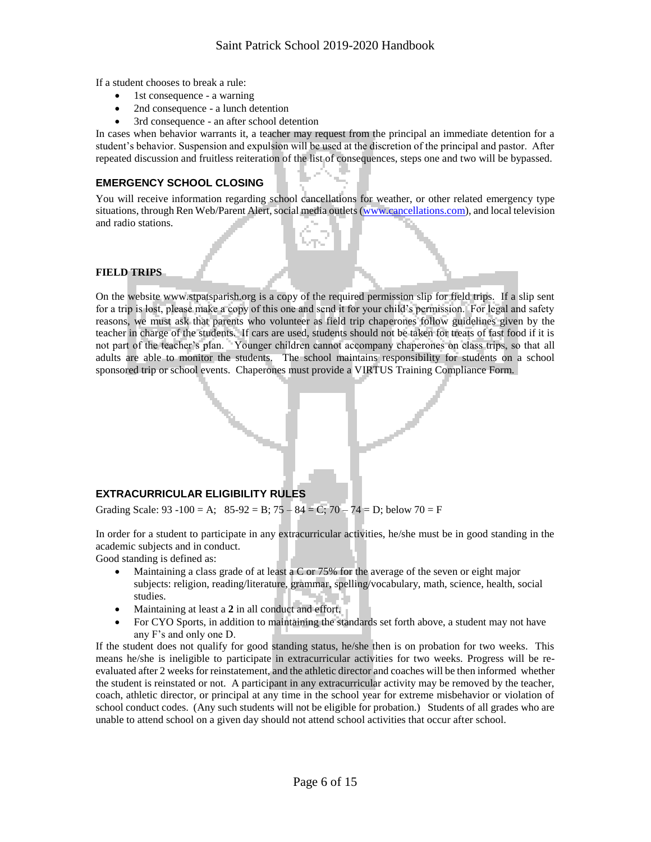If a student chooses to break a rule:

- 1st consequence a warning
- 2nd consequence a lunch detention
- 3rd consequence an after school detention

In cases when behavior warrants it, a teacher may request from the principal an immediate detention for a student's behavior. Suspension and expulsion will be used at the discretion of the principal and pastor. After repeated discussion and fruitless reiteration of the list of consequences, steps one and two will be bypassed.

# **EMERGENCY SCHOOL CLOSING**

You will receive information regarding school cancellations for weather, or other related emergency type situations, through Ren Web/Parent Alert, social media outlets [\(www.cancellations.com\)](http://www.cancellations.com/), and local television and radio stations.

### **FIELD TRIPS**

On the website www.stpatsparish.org is a copy of the required permission slip for field trips. If a slip sent for a trip is lost, please make a copy of this one and send it for your child's permission. For legal and safety reasons, we must ask that parents who volunteer as field trip chaperones follow guidelines given by the teacher in charge of the students. If cars are used, students should not be taken for treats of fast food if it is not part of the teacher's plan. Younger children cannot accompany chaperones on class trips, so that all adults are able to monitor the students. The school maintains responsibility for students on a school sponsored trip or school events. Chaperones must provide a VIRTUS Training Compliance Form.

# **EXTRACURRICULAR ELIGIBILITY RULES**

Grading Scale:  $93 - 100 = A$ ;  $85 - 92 = B$ ;  $75 - 84 = C$ ;  $70 - 74 = D$ ; below  $70 = F$ 

In order for a student to participate in any extracurricular activities, he/she must be in good standing in the academic subjects and in conduct.

Good standing is defined as:

- Maintaining a class grade of at least a C or 75% for the average of the seven or eight major subjects: religion, reading/literature, grammar, spelling/vocabulary, math, science, health, social studies.
- Maintaining at least a **2** in all conduct and effort.
- For CYO Sports, in addition to maintaining the standards set forth above, a student may not have any F's and only one D.

If the student does not qualify for good standing status, he/she then is on probation for two weeks. This means he/she is ineligible to participate in extracurricular activities for two weeks. Progress will be reevaluated after 2 weeks for reinstatement, and the athletic director and coaches will be then informed whether the student is reinstated or not. A participant in any extracurricular activity may be removed by the teacher, coach, athletic director, or principal at any time in the school year for extreme misbehavior or violation of school conduct codes. (Any such students will not be eligible for probation.) Students of all grades who are unable to attend school on a given day should not attend school activities that occur after school.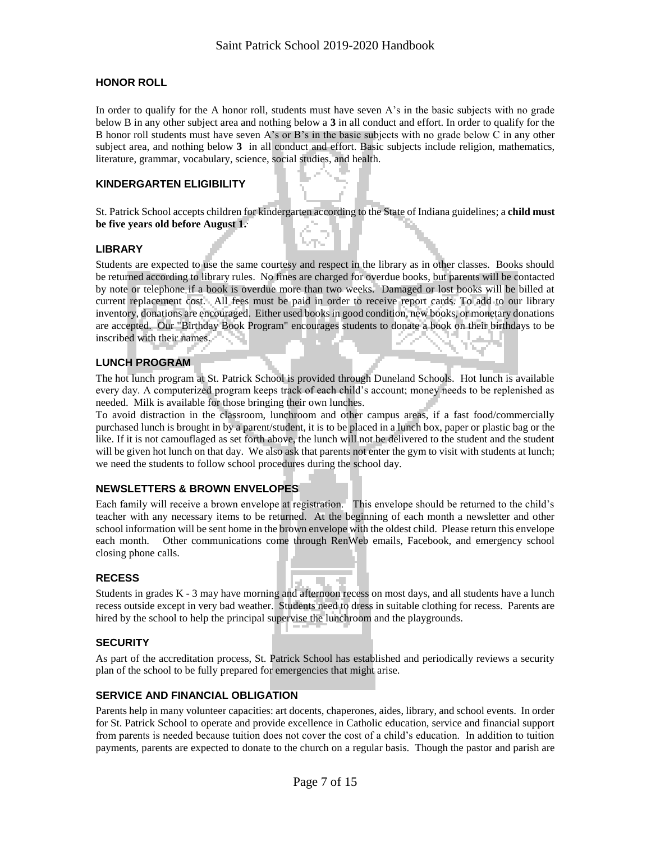### **HONOR ROLL**

In order to qualify for the A honor roll, students must have seven A's in the basic subjects with no grade below B in any other subject area and nothing below a **3** in all conduct and effort. In order to qualify for the B honor roll students must have seven A's or B's in the basic subjects with no grade below C in any other subject area, and nothing below **3** in all conduct and effort. Basic subjects include religion, mathematics, literature, grammar, vocabulary, science, social studies, and health.

#### **KINDERGARTEN ELIGIBILITY**

St. Patrick School accepts children for kindergarten according to the State of Indiana guidelines; a **child must be five years old before August 1. .**

#### **LIBRARY**

Students are expected to use the same courtesy and respect in the library as in other classes. Books should be returned according to library rules. No fines are charged for overdue books, but parents will be contacted by note or telephone if a book is overdue more than two weeks. Damaged or lost books will be billed at current replacement cost. All fees must be paid in order to receive report cards. To add to our library inventory, donations are encouraged. Either used books in good condition, new books, or monetary donations are accepted. Our "Birthday Book Program" encourages students to donate a book on their birthdays to be inscribed with their names.

#### **LUNCH PROGRAM**

The hot lunch program at St. Patrick School is provided through Duneland Schools. Hot lunch is available every day. A computerized program keeps track of each child's account; money needs to be replenished as needed. Milk is available for those bringing their own lunches.

To avoid distraction in the classroom, lunchroom and other campus areas, if a fast food/commercially purchased lunch is brought in by a parent/student, it is to be placed in a lunch box, paper or plastic bag or the like. If it is not camouflaged as set forth above, the lunch will not be delivered to the student and the student will be given hot lunch on that day. We also ask that parents not enter the gym to visit with students at lunch; we need the students to follow school procedures during the school day.

### **NEWSLETTERS & BROWN ENVELOPES**

Each family will receive a brown envelope at registration. This envelope should be returned to the child's teacher with any necessary items to be returned. At the beginning of each month a newsletter and other school information will be sent home in the brown envelope with the oldest child. Please return this envelope each month. Other communications come through RenWeb emails, Facebook, and emergency school closing phone calls.

#### **RECESS**

Students in grades K - 3 may have morning and afternoon recess on most days, and all students have a lunch recess outside except in very bad weather. Students need to dress in suitable clothing for recess. Parents are hired by the school to help the principal supervise the lunchroom and the playgrounds.

#### **SECURITY**

As part of the accreditation process, St. Patrick School has established and periodically reviews a security plan of the school to be fully prepared for emergencies that might arise.

### **SERVICE AND FINANCIAL OBLIGATION**

Parents help in many volunteer capacities: art docents, chaperones, aides, library, and school events. In order for St. Patrick School to operate and provide excellence in Catholic education, service and financial support from parents is needed because tuition does not cover the cost of a child's education. In addition to tuition payments, parents are expected to donate to the church on a regular basis. Though the pastor and parish are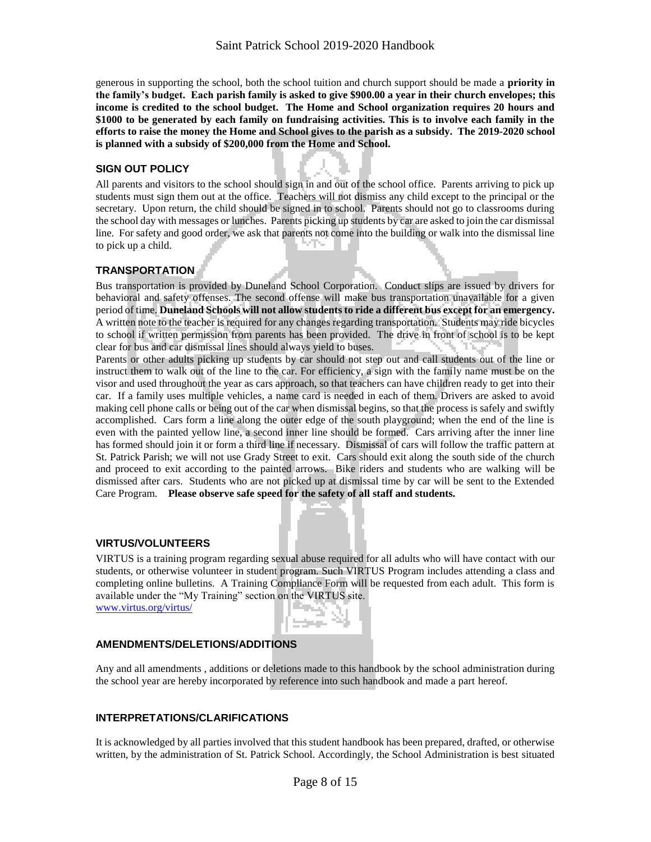generous in supporting the school, both the school tuition and church support should be made a **priority in the family's budget. Each parish family is asked to give \$900.00 a year in their church envelopes; this income is credited to the school budget. The Home and School organization requires 20 hours and \$1000 to be generated by each family on fundraising activities. This is to involve each family in the efforts to raise the money the Home and School gives to the parish as a subsidy. The 2019-2020 school is planned with a subsidy of \$200,000 from the Home and School.** 

#### **SIGN OUT POLICY**

All parents and visitors to the school should sign in and out of the school office. Parents arriving to pick up students must sign them out at the office. Teachers will not dismiss any child except to the principal or the secretary. Upon return, the child should be signed in to school. Parents should not go to classrooms during the school day with messages or lunches. Parents picking up students by car are asked to join the car dismissal line. For safety and good order, we ask that parents not come into the building or walk into the dismissal line to pick up a child.

#### **TRANSPORTATION**

Bus transportation is provided by Duneland School Corporation. Conduct slips are issued by drivers for behavioral and safety offenses. The second offense will make bus transportation unavailable for a given period of time. **Duneland Schools will not allow students to ride a different bus except for an emergency.** A written note to the teacher is required for any changes regarding transportation. Students may ride bicycles to school if written permission from parents has been provided. The drive in front of school is to be kept clear for bus and car dismissal lines should always yield to buses.

Parents or other adults picking up students by car should not step out and call students out of the line or instruct them to walk out of the line to the car. For efficiency, a sign with the family name must be on the visor and used throughout the year as cars approach, so that teachers can have children ready to get into their car. If a family uses multiple vehicles, a name card is needed in each of them. Drivers are asked to avoid making cell phone calls or being out of the car when dismissal begins, so that the process is safely and swiftly accomplished. Cars form a line along the outer edge of the south playground; when the end of the line is even with the painted yellow line, a second inner line should be formed. Cars arriving after the inner line has formed should join it or form a third line if necessary. Dismissal of cars will follow the traffic pattern at St. Patrick Parish; we will not use Grady Street to exit. Cars should exit along the south side of the church and proceed to exit according to the painted arrows. Bike riders and students who are walking will be dismissed after cars. Students who are not picked up at dismissal time by car will be sent to the Extended Care Program. **Please observe safe speed for the safety of all staff and students.**

### **VIRTUS/VOLUNTEERS**

VIRTUS is a training program regarding sexual abuse required for all adults who will have contact with our students, or otherwise volunteer in student program. Such VIRTUS Program includes attending a class and completing online bulletins. A Training Compliance Form will be requested from each adult. This form is available under the "My Training" section on the VIRTUS site.

[www.virtus.org/virtus/](http://www.virtus.org/virtus/)



### **AMENDMENTS/DELETIONS/ADDITIONS**

Any and all amendments , additions or deletions made to this handbook by the school administration during the school year are hereby incorporated by reference into such handbook and made a part hereof.

### **INTERPRETATIONS/CLARIFICATIONS**

It is acknowledged by all parties involved that this student handbook has been prepared, drafted, or otherwise written, by the administration of St. Patrick School. Accordingly, the School Administration is best situated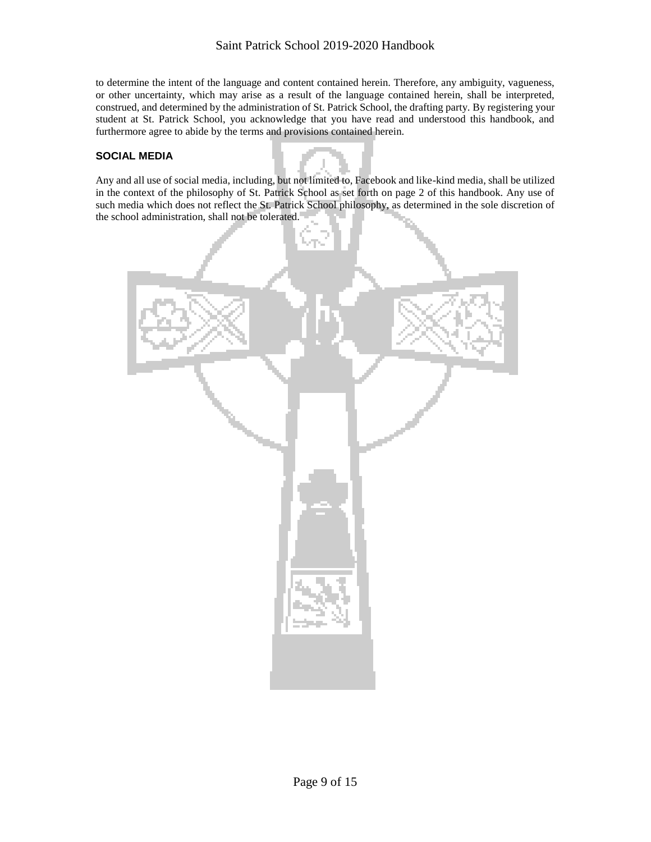to determine the intent of the language and content contained herein. Therefore, any ambiguity, vagueness, or other uncertainty, which may arise as a result of the language contained herein, shall be interpreted, construed, and determined by the administration of St. Patrick School, the drafting party. By registering your student at St. Patrick School, you acknowledge that you have read and understood this handbook, and furthermore agree to abide by the terms and provisions contained herein.

### **SOCIAL MEDIA**

Any and all use of social media, including, but not limited to, Facebook and like-kind media, shall be utilized in the context of the philosophy of St. Patrick School as set forth on page 2 of this handbook. Any use of such media which does not reflect the St. Patrick School philosophy, as determined in the sole discretion of the school administration, shall not be tolerated.

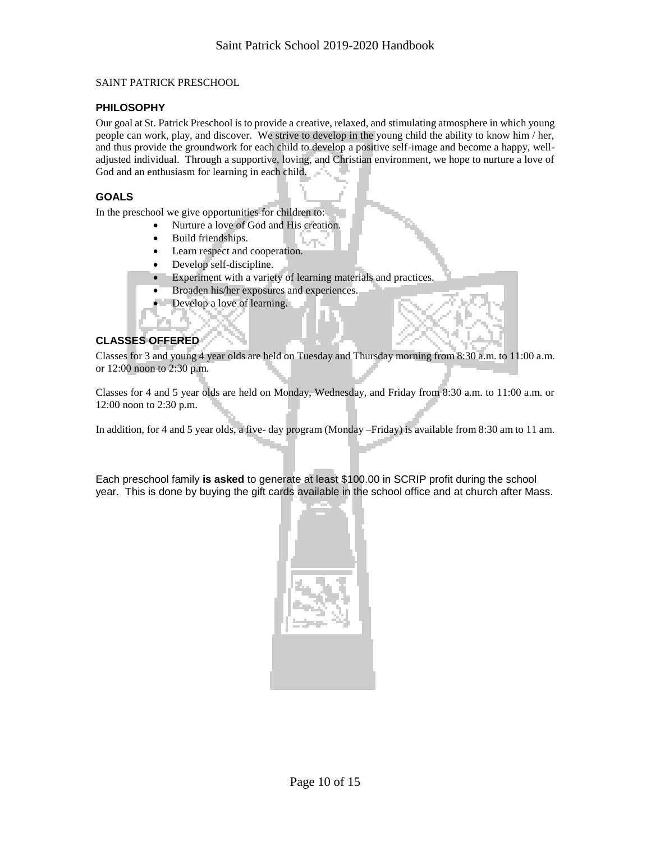#### SAINT PATRICK PRESCHOOL

#### **PHILOSOPHY**

Our goal at St. Patrick Preschool is to provide a creative, relaxed, and stimulating atmosphere in which young people can work, play, and discover. We strive to develop in the young child the ability to know him / her, and thus provide the groundwork for each child to develop a positive self-image and become a happy, welladjusted individual. Through a supportive, loving, and Christian environment, we hope to nurture a love of God and an enthusiasm for learning in each child.

#### **GOALS**

In the preschool we give opportunities for children to:

- Nurture a love of God and His creation.
- Build friendships.
- Learn respect and cooperation.
- Develop self-discipline.
- Experiment with a variety of learning materials and practices.
- Broaden his/her exposures and experiences.
- Develop a love of learning.

# **CLASSES OFFERED**

Classes for 3 and young 4 year olds are held on Tuesday and Thursday morning from 8:30 a.m. to 11:00 a.m. or 12:00 noon to 2:30 p.m.

Classes for 4 and 5 year olds are held on Monday, Wednesday, and Friday from 8:30 a.m. to 11:00 a.m. or 12:00 noon to 2:30 p.m.

In addition, for 4 and 5 year olds, a five- day program (Monday –Friday) is available from 8:30 am to 11 am.

Each preschool family **is asked** to generate at least \$100.00 in SCRIP profit during the school year. This is done by buying the gift cards available in the school office and at church after Mass.

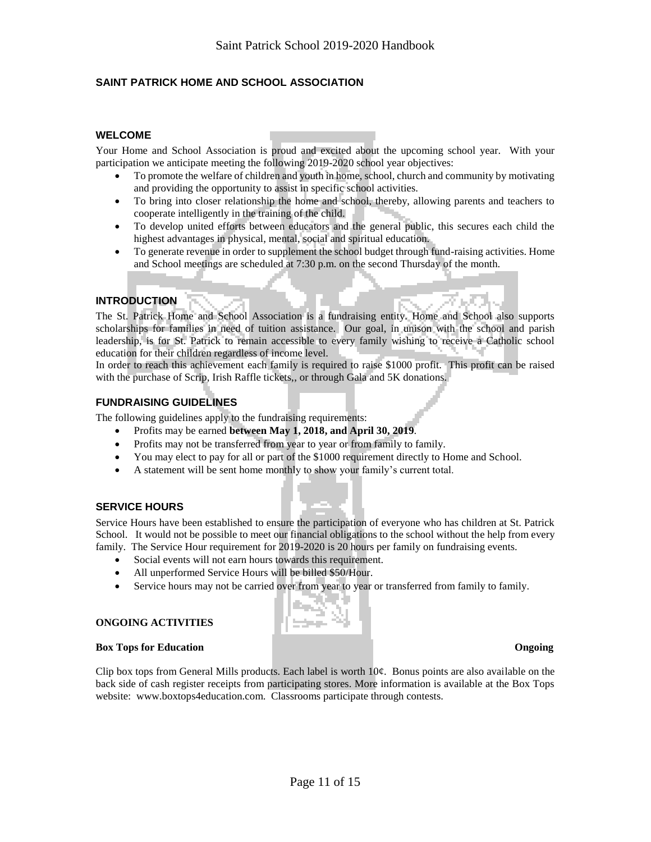# **SAINT PATRICK HOME AND SCHOOL ASSOCIATION**

#### **WELCOME**

Your Home and School Association is proud and excited about the upcoming school year. With your participation we anticipate meeting the following 2019-2020 school year objectives:

- To promote the welfare of children and youth in home, school, church and community by motivating and providing the opportunity to assist in specific school activities.
- To bring into closer relationship the home and school, thereby, allowing parents and teachers to cooperate intelligently in the training of the child.
- To develop united efforts between educators and the general public, this secures each child the highest advantages in physical, mental, social and spiritual education.
- To generate revenue in order to supplement the school budget through fund-raising activities. Home and School meetings are scheduled at 7:30 p.m. on the second Thursday of the month.

#### **INTRODUCTION**

The St. Patrick Home and School Association is a fundraising entity. Home and School also supports scholarships for families in need of tuition assistance. Our goal, in unison with the school and parish leadership, is for St. Patrick to remain accessible to every family wishing to receive a Catholic school education for their children regardless of income level.

In order to reach this achievement each family is required to raise \$1000 profit. This profit can be raised with the purchase of Scrip, Irish Raffle tickets,, or through Gala and 5K donations.

### **FUNDRAISING GUIDELINES**

The following guidelines apply to the fundraising requirements:

- Profits may be earned **between May 1, 2018, and April 30, 2019**.
- Profits may not be transferred from year to year or from family to family.
- You may elect to pay for all or part of the \$1000 requirement directly to Home and School.
- A statement will be sent home monthly to show your family's current total.

#### **SERVICE HOURS**

Service Hours have been established to ensure the participation of everyone who has children at St. Patrick School. It would not be possible to meet our financial obligations to the school without the help from every family. The Service Hour requirement for 2019-2020 is 20 hours per family on fundraising events.

- Social events will not earn hours towards this requirement.
- All unperformed Service Hours will be billed \$50/Hour.
- Service hours may not be carried over from year to year or transferred from family to family.

#### **ONGOING ACTIVITIES**

#### **Box Tops for Education Congoing Congress of Congoing**

Clip box tops from General Mills products. Each label is worth  $10¢$ . Bonus points are also available on the back side of cash register receipts from participating stores. More information is available at the Box Tops website: www.boxtops4education.com. Classrooms participate through contests.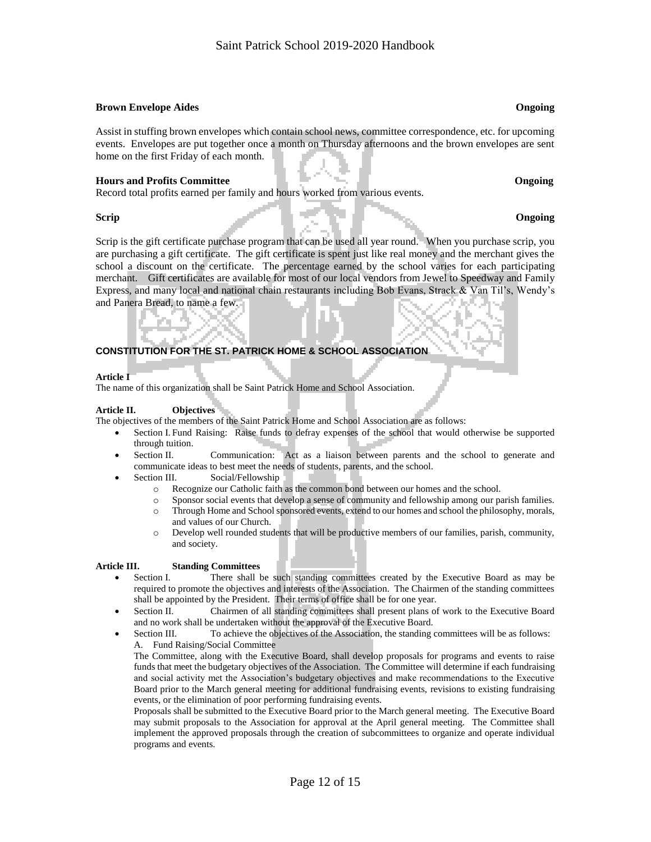#### **Brown Envelope Aides Ongoing**

Assist in stuffing brown envelopes which contain school news, committee correspondence, etc. for upcoming events. Envelopes are put together once a month on Thursday afternoons and the brown envelopes are sent home on the first Friday of each month.

#### **Hours and Profits Committee Committee Committee Committee Committee Committee Committee Committee Committee Committee Committee Committee Committee Committee Committee Committee Committee Committee Committee Committee Com**

Record total profits earned per family and hours worked from various events.

#### **Scrip Congoing**

Scrip is the gift certificate purchase program that can be used all year round. When you purchase scrip, you are purchasing a gift certificate. The gift certificate is spent just like real money and the merchant gives the school a discount on the certificate. The percentage earned by the school varies for each participating merchant. Gift certificates are available for most of our local vendors from Jewel to Speedway and Family Express, and many local and national chain restaurants including Bob Evans, Strack & Van Til's, Wendy's and Panera Bread, to name a few.

### **CONSTITUTION FOR THE ST. PATRICK HOME & SCHOOL ASSOCIATION**

#### **Article I**

The name of this organization shall be Saint Patrick Home and School Association.

#### **Article II. Objectives**

The objectives of the members of the Saint Patrick Home and School Association are as follows:

- Section I. Fund Raising: Raise funds to defray expenses of the school that would otherwise be supported through tuition.
- Section II. Communication: Act as a liaison between parents and the school to generate and communicate ideas to best meet the needs of students, parents, and the school.
- Section III. Social/Fellowship
	- o Recognize our Catholic faith as the common bond between our homes and the school.
	- o Sponsor social events that develop a sense of community and fellowship among our parish families. o Through Home and School sponsored events, extend to our homes and school the philosophy, morals,
	- and values of our Church.
	- o Develop well rounded students that will be productive members of our families, parish, community, and society.

#### **Article III. Standing Committees**

- Section I. There shall be such standing committees created by the Executive Board as may be required to promote the objectives and interests of the Association. The Chairmen of the standing committees shall be appointed by the President. Their terms of office shall be for one year.
- Section II. Chairmen of all standing committees shall present plans of work to the Executive Board and no work shall be undertaken without the approval of the Executive Board.
- Section III. To achieve the objectives of the Association, the standing committees will be as follows: A. Fund Raising/Social Committee

The Committee, along with the Executive Board, shall develop proposals for programs and events to raise funds that meet the budgetary objectives of the Association. The Committee will determine if each fundraising and social activity met the Association's budgetary objectives and make recommendations to the Executive Board prior to the March general meeting for additional fundraising events, revisions to existing fundraising events, or the elimination of poor performing fundraising events.

Proposals shall be submitted to the Executive Board prior to the March general meeting. The Executive Board may submit proposals to the Association for approval at the April general meeting. The Committee shall implement the approved proposals through the creation of subcommittees to organize and operate individual programs and events.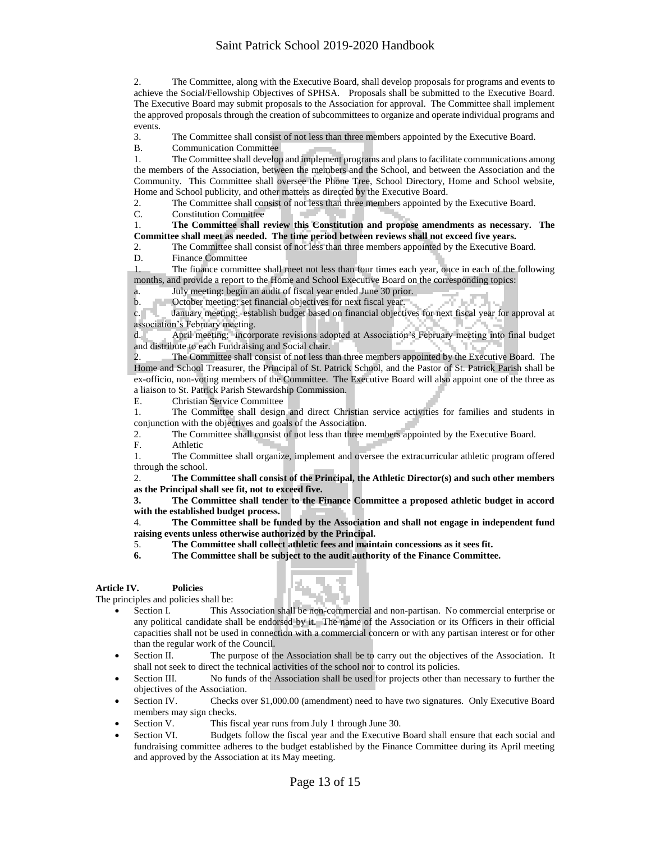# Saint Patrick School 2019-2020 Handbook

2. The Committee, along with the Executive Board, shall develop proposals for programs and events to achieve the Social/Fellowship Objectives of SPHSA. Proposals shall be submitted to the Executive Board. The Executive Board may submit proposals to the Association for approval. The Committee shall implement the approved proposals through the creation of subcommittees to organize and operate individual programs and events.

3. The Committee shall consist of not less than three members appointed by the Executive Board.

B. Communication Committee

1. The Committee shall develop and implement programs and plans to facilitate communications among the members of the Association, between the members and the School, and between the Association and the Community. This Committee shall oversee the Phone Tree, School Directory, Home and School website, Home and School publicity, and other matters as directed by the Executive Board.

2. The Committee shall consist of not less than three members appointed by the Executive Board.

C. Constitution Committee

1. **The Committee shall review this Constitution and propose amendments as necessary. The Committee shall meet as needed. The time period between reviews shall not exceed five years.**

2. The Committee shall consist of not less than three members appointed by the Executive Board.

D. Finance Committee

The finance committee shall meet not less than four times each year, once in each of the following months, and provide a report to the Home and School Executive Board on the corresponding topics:

a. July meeting: begin an audit of fiscal year ended June 30 prior.

b. October meeting: set financial objectives for next fiscal year.

c. January meeting: establish budget based on financial objectives for next fiscal year for approval at association's February meeting.

d. April meeting: incorporate revisions adopted at Association's February meeting into final budget and distribute to each Fundraising and Social chair.

2. The Committee shall consist of not less than three members appointed by the Executive Board. The Home and School Treasurer, the Principal of St. Patrick School, and the Pastor of St. Patrick Parish shall be ex-officio, non-voting members of the Committee. The Executive Board will also appoint one of the three as a liaison to St. Patrick Parish Stewardship Commission.

E. Christian Service Committee

1. The Committee shall design and direct Christian service activities for families and students in conjunction with the objectives and goals of the Association.

2. The Committee shall consist of not less than three members appointed by the Executive Board.<br>F. Athletic

F. Athletic<br>1. The Cor 1. The Committee shall organize, implement and oversee the extracurricular athletic program offered through the school.

2. **The Committee shall consist of the Principal, the Athletic Director(s) and such other members as the Principal shall see fit, not to exceed five.**

**3. The Committee shall tender to the Finance Committee a proposed athletic budget in accord with the established budget process.**

4. **The Committee shall be funded by the Association and shall not engage in independent fund raising events unless otherwise authorized by the Principal.**

5. **The Committee shall collect athletic fees and maintain concessions as it sees fit.**

**6. The Committee shall be subject to the audit authority of the Finance Committee.**

#### **Article IV. Policies**

The principles and policies shall be:



- Section I. This Association shall be non-commercial and non-partisan. No commercial enterprise or any political candidate shall be endorsed by it. The name of the Association or its Officers in their official capacities shall not be used in connection with a commercial concern or with any partisan interest or for other than the regular work of the Council.
- Section II. The purpose of the Association shall be to carry out the objectives of the Association. It shall not seek to direct the technical activities of the school nor to control its policies.
- Section III. No funds of the Association shall be used for projects other than necessary to further the objectives of the Association.
- Section IV. Checks over \$1,000.00 (amendment) need to have two signatures. Only Executive Board members may sign checks.
- Section V. This fiscal year runs from July 1 through June 30.
- Section VI. Budgets follow the fiscal year and the Executive Board shall ensure that each social and fundraising committee adheres to the budget established by the Finance Committee during its April meeting and approved by the Association at its May meeting.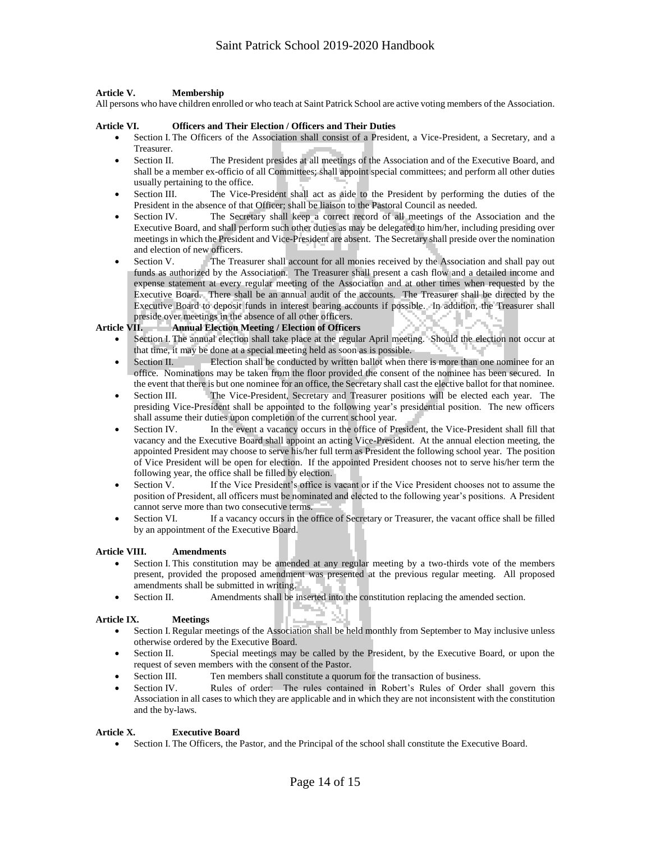#### **Article V. Membership**

All persons who have children enrolled or who teach at Saint Patrick School are active voting members of the Association.

#### **Article VI. Officers and Their Election / Officers and Their Duties**

- Section I. The Officers of the Association shall consist of a President, a Vice-President, a Secretary, and a Treasurer.
- Section II. The President presides at all meetings of the Association and of the Executive Board, and shall be a member ex-officio of all Committees; shall appoint special committees; and perform all other duties usually pertaining to the office.
- Section III. The Vice-President shall act as aide to the President by performing the duties of the President in the absence of that Officer; shall be liaison to the Pastoral Council as needed.
- Section IV. The Secretary shall keep a correct record of all meetings of the Association and the Executive Board, and shall perform such other duties as may be delegated to him/her, including presiding over meetings in which the President and Vice-President are absent. The Secretary shall preside over the nomination and election of new officers.
- Section V. The Treasurer shall account for all monies received by the Association and shall pay out funds as authorized by the Association. The Treasurer shall present a cash flow and a detailed income and expense statement at every regular meeting of the Association and at other times when requested by the Executive Board. There shall be an annual audit of the accounts. The Treasurer shall be directed by the Executive Board to deposit funds in interest bearing accounts if possible. In addition, the Treasurer shall preside over meetings in the absence of all other officers.

#### **Article VII. Annual Election Meeting / Election of Officers**

- Section I. The annual election shall take place at the regular April meeting. Should the election not occur at that time, it may be done at a special meeting held as soon as is possible.
- Section II. Election shall be conducted by written ballot when there is more than one nominee for an office. Nominations may be taken from the floor provided the consent of the nominee has been secured. In the event that there is but one nominee for an office, the Secretary shall cast the elective ballot for that nominee.
- Section III. The Vice-President, Secretary and Treasurer positions will be elected each year. The presiding Vice-President shall be appointed to the following year's presidential position. The new officers shall assume their duties upon completion of the current school year.
- Section IV. In the event a vacancy occurs in the office of President, the Vice-President shall fill that vacancy and the Executive Board shall appoint an acting Vice-President. At the annual election meeting, the appointed President may choose to serve his/her full term as President the following school year. The position of Vice President will be open for election. If the appointed President chooses not to serve his/her term the following year, the office shall be filled by election.
- Section V. If the Vice President's office is vacant or if the Vice President chooses not to assume the position of President, all officers must be nominated and elected to the following year's positions. A President cannot serve more than two consecutive terms.
- Section VI. If a vacancy occurs in the office of Secretary or Treasurer, the vacant office shall be filled by an appointment of the Executive Board.

#### **Article VIII. Amendments**

- Section I. This constitution may be amended at any regular meeting by a two-thirds vote of the members present, provided the proposed amendment was presented at the previous regular meeting. All proposed amendments shall be submitted in writing.
- Section II. Amendments shall be inserted into the constitution replacing the amended section.

#### **Article IX. Meetings**

- Section I. Regular meetings of the Association shall be held monthly from September to May inclusive unless otherwise ordered by the Executive Board.
- Section II. Special meetings may be called by the President, by the Executive Board, or upon the request of seven members with the consent of the Pastor.
- Section III. Ten members shall constitute a quorum for the transaction of business.
- Section IV. Rules of order: The rules contained in Robert's Rules of Order shall govern this Association in all cases to which they are applicable and in which they are not inconsistent with the constitution and the by-laws.

#### **Article X. Executive Board**

Section I. The Officers, the Pastor, and the Principal of the school shall constitute the Executive Board.